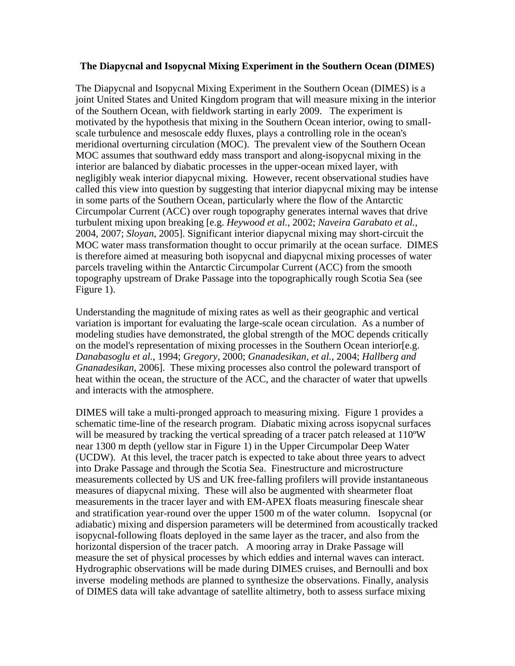## **The Diapycnal and Isopycnal Mixing Experiment in the Southern Ocean (DIMES)**

The Diapycnal and Isopycnal Mixing Experiment in the Southern Ocean (DIMES) is a joint United States and United Kingdom program that will measure mixing in the interior of the Southern Ocean, with fieldwork starting in early 2009. The experiment is motivated by the hypothesis that mixing in the Southern Ocean interior, owing to smallscale turbulence and mesoscale eddy fluxes, plays a controlling role in the ocean's meridional overturning circulation (MOC). The prevalent view of the Southern Ocean MOC assumes that southward eddy mass transport and along-isopycnal mixing in the interior are balanced by diabatic processes in the upper-ocean mixed layer, with negligibly weak interior diapycnal mixing. However, recent observational studies have called this view into question by suggesting that interior diapycnal mixing may be intense in some parts of the Southern Ocean, particularly where the flow of the Antarctic Circumpolar Current (ACC) over rough topography generates internal waves that drive turbulent mixing upon breaking [e.g. *Heywood et al.,* 2002; *Naveira Garabato et al.*, 2004, 2007; *Sloyan*, 2005]. Significant interior diapycnal mixing may short-circuit the MOC water mass transformation thought to occur primarily at the ocean surface. DIMES is therefore aimed at measuring both isopycnal and diapycnal mixing processes of water parcels traveling within the Antarctic Circumpolar Current (ACC) from the smooth topography upstream of Drake Passage into the topographically rough Scotia Sea (see Figure 1).

Understanding the magnitude of mixing rates as well as their geographic and vertical variation is important for evaluating the large-scale ocean circulation. As a number of modeling studies have demonstrated, the global strength of the MOC depends critically on the model's representation of mixing processes in the Southern Ocean interior[e.g. *Danabasoglu et al.*, 1994; *Gregory*, 2000; *Gnanadesikan, et al.*, 2004; *Hallberg and Gnanadesikan*, 2006]. These mixing processes also control the poleward transport of heat within the ocean, the structure of the ACC, and the character of water that upwells and interacts with the atmosphere.

DIMES will take a multi-pronged approach to measuring mixing. Figure 1 provides a schematic time-line of the research program. Diabatic mixing across isopycnal surfaces will be measured by tracking the vertical spreading of a tracer patch released at 110<sup>o</sup>W near 1300 m depth (yellow star in Figure 1) in the Upper Circumpolar Deep Water (UCDW). At this level, the tracer patch is expected to take about three years to advect into Drake Passage and through the Scotia Sea. Finestructure and microstructure measurements collected by US and UK free-falling profilers will provide instantaneous measures of diapycnal mixing. These will also be augmented with shearmeter float measurements in the tracer layer and with EM-APEX floats measuring finescale shear and stratification year-round over the upper 1500 m of the water column. Isopycnal (or adiabatic) mixing and dispersion parameters will be determined from acoustically tracked isopycnal-following floats deployed in the same layer as the tracer, and also from the horizontal dispersion of the tracer patch. A mooring array in Drake Passage will measure the set of physical processes by which eddies and internal waves can interact. Hydrographic observations will be made during DIMES cruises, and Bernoulli and box inverse modeling methods are planned to synthesize the observations. Finally, analysis of DIMES data will take advantage of satellite altimetry, both to assess surface mixing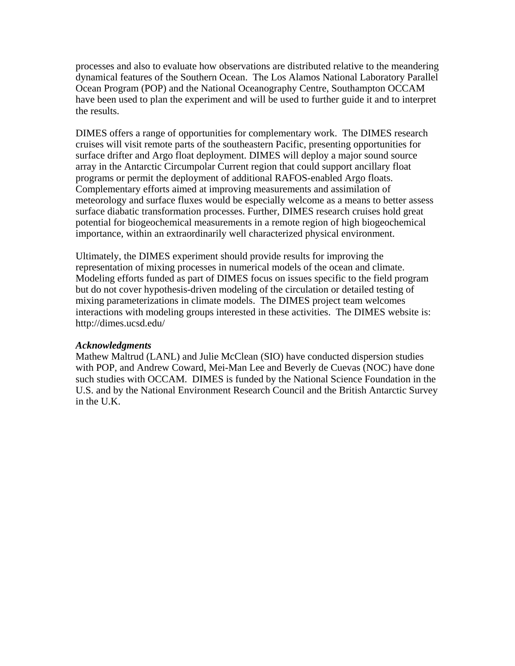processes and also to evaluate how observations are distributed relative to the meandering dynamical features of the Southern Ocean. The Los Alamos National Laboratory Parallel Ocean Program (POP) and the National Oceanography Centre, Southampton OCCAM have been used to plan the experiment and will be used to further guide it and to interpret the results.

DIMES offers a range of opportunities for complementary work. The DIMES research cruises will visit remote parts of the southeastern Pacific, presenting opportunities for surface drifter and Argo float deployment. DIMES will deploy a major sound source array in the Antarctic Circumpolar Current region that could support ancillary float programs or permit the deployment of additional RAFOS-enabled Argo floats. Complementary efforts aimed at improving measurements and assimilation of meteorology and surface fluxes would be especially welcome as a means to better assess surface diabatic transformation processes. Further, DIMES research cruises hold great potential for biogeochemical measurements in a remote region of high biogeochemical importance, within an extraordinarily well characterized physical environment.

Ultimately, the DIMES experiment should provide results for improving the representation of mixing processes in numerical models of the ocean and climate. Modeling efforts funded as part of DIMES focus on issues specific to the field program but do not cover hypothesis-driven modeling of the circulation or detailed testing of mixing parameterizations in climate models. The DIMES project team welcomes interactions with modeling groups interested in these activities. The DIMES website is: http://dimes.ucsd.edu/

## *Acknowledgments*

Mathew Maltrud (LANL) and Julie McClean (SIO) have conducted dispersion studies with POP, and Andrew Coward, Mei-Man Lee and Beverly de Cuevas (NOC) have done such studies with OCCAM. DIMES is funded by the National Science Foundation in the U.S. and by the National Environment Research Council and the British Antarctic Survey in the U.K.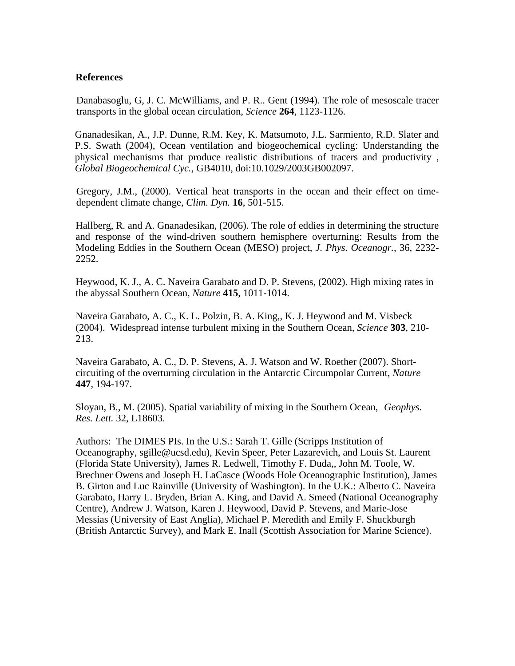## **References**

Danabasoglu, G, J. C. McWilliams, and P. R.. Gent (1994). The role of mesoscale tracer transports in the global ocean circulation*, Science* **264**, 1123-1126.

Gnanadesikan, A., J.P. Dunne, R.M. Key, K. Matsumoto, J.L. Sarmiento, R.D. Slater and P.S. Swath (2004), Ocean ventilation and biogeochemical cycling: Understanding the physical mechanisms that produce realistic distributions of tracers and productivity , *Global Biogeochemical Cyc.*, GB4010, doi:10.1029/2003GB002097.

Gregory, J.M., (2000). Vertical heat transports in the ocean and their effect on timedependent climate change, *Clim. Dyn.* **16**, 501-515.

Hallberg, R. and A. Gnanadesikan, (2006). The role of eddies in determining the structure and response of the wind-driven southern hemisphere overturning: Results from the Modeling Eddies in the Southern Ocean (MESO) project, *J. Phys. Oceanogr.*, 36, 2232- 2252.

Heywood, K. J., A. C. Naveira Garabato and D. P. Stevens, (2002). High mixing rates in the abyssal Southern Ocean, *Nature* **415**, 1011-1014.

Naveira Garabato, A. C., K. L. Polzin, B. A. King,, K. J. Heywood and M. Visbeck (2004). Widespread intense turbulent mixing in the Southern Ocean, *Science* **303**, 210- 213.

Naveira Garabato, A. C., D. P. Stevens, A. J. Watson and W. Roether (2007). Shortcircuiting of the overturning circulation in the Antarctic Circumpolar Current, *Nature* **447**, 194-197.

Sloyan, B., M. (2005). Spatial variability of mixing in the Southern Ocean, *Geophys. Res. Lett.* 32, L18603.

Authors: The DIMES PIs. In the U.S.: Sarah T. Gille (Scripps Institution of Oceanography, sgille@ucsd.edu), Kevin Speer, Peter Lazarevich, and Louis St. Laurent (Florida State University), James R. Ledwell, Timothy F. Duda,, John M. Toole, W. Brechner Owens and Joseph H. LaCasce (Woods Hole Oceanographic Institution), James B. Girton and Luc Rainville (University of Washington). In the U.K.: Alberto C. Naveira Garabato, Harry L. Bryden, Brian A. King, and David A. Smeed (National Oceanography Centre), Andrew J. Watson, Karen J. Heywood, David P. Stevens, and Marie-Jose Messias (University of East Anglia), Michael P. Meredith and Emily F. Shuckburgh (British Antarctic Survey), and Mark E. Inall (Scottish Association for Marine Science).